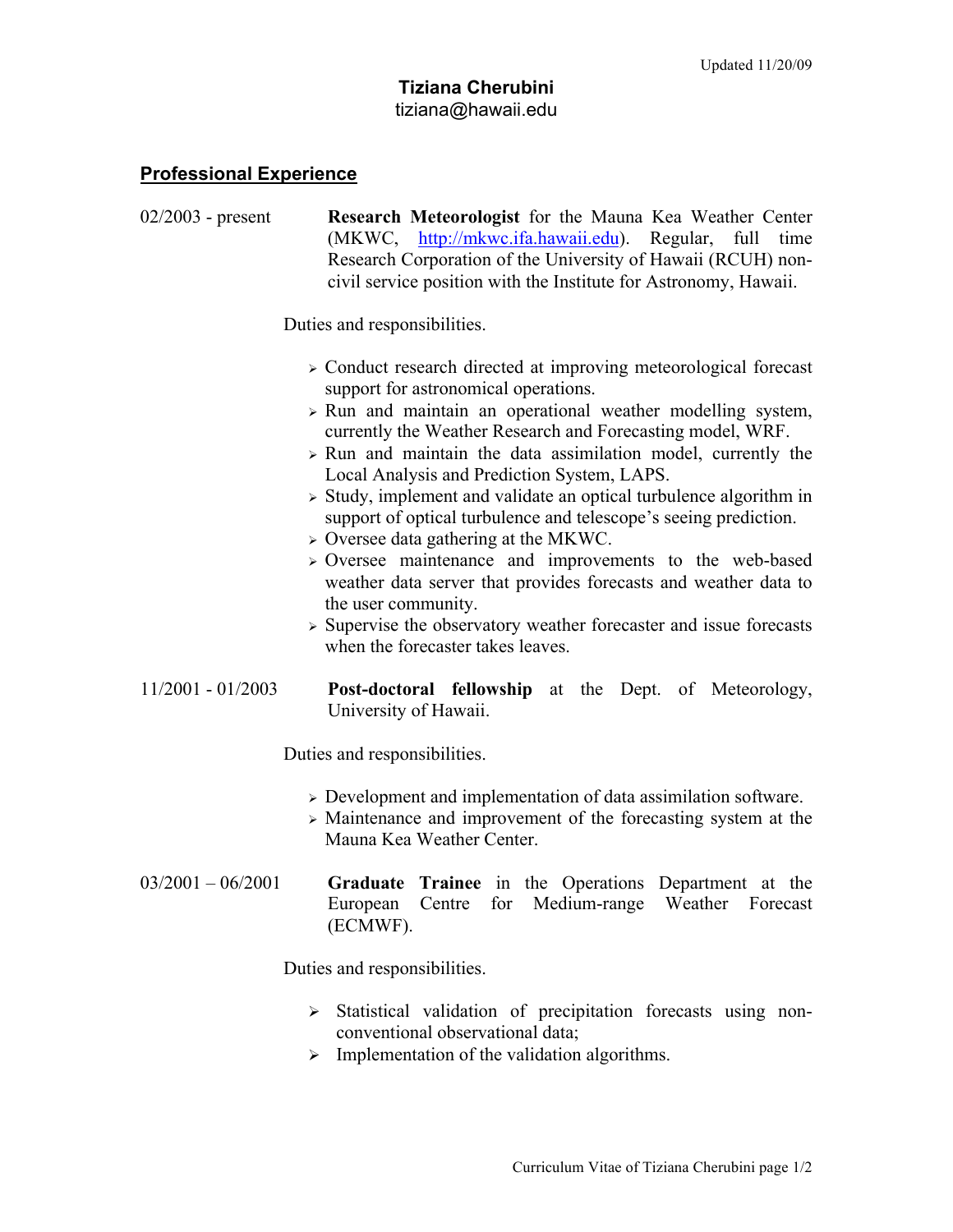## **Professional Experience**

02/2003 - present **Research Meteorologist** for the Mauna Kea Weather Center (MKWC, http://mkwc.ifa.hawaii.edu). Regular, full time Research Corporation of the University of Hawaii (RCUH) noncivil service position with the Institute for Astronomy, Hawaii. Duties and responsibilities. Conduct research directed at improving meteorological forecast support for astronomical operations.  $\triangleright$  Run and maintain an operational weather modelling system, currently the Weather Research and Forecasting model, WRF.  $\triangleright$  Run and maintain the data assimilation model, currently the Local Analysis and Prediction System, LAPS.  $\geq$  Study, implement and validate an optical turbulence algorithm in support of optical turbulence and telescope's seeing prediction.  $\geq$  Oversee data gathering at the MKWC. Oversee maintenance and improvements to the web-based weather data server that provides forecasts and weather data to the user community.  $\triangleright$  Supervise the observatory weather forecaster and issue forecasts when the forecaster takes leaves. 11/2001 - 01/2003 **Post-doctoral fellowship** at the Dept. of Meteorology, University of Hawaii. Duties and responsibilities. Development and implementation of data assimilation software. Maintenance and improvement of the forecasting system at the Mauna Kea Weather Center. 03/2001 – 06/2001 **Graduate Trainee** in the Operations Department at the European Centre for Medium-range Weather Forecast (ECMWF). Duties and responsibilities.

- $\triangleright$  Statistical validation of precipitation forecasts using nonconventional observational data;
- $\triangleright$  Implementation of the validation algorithms.